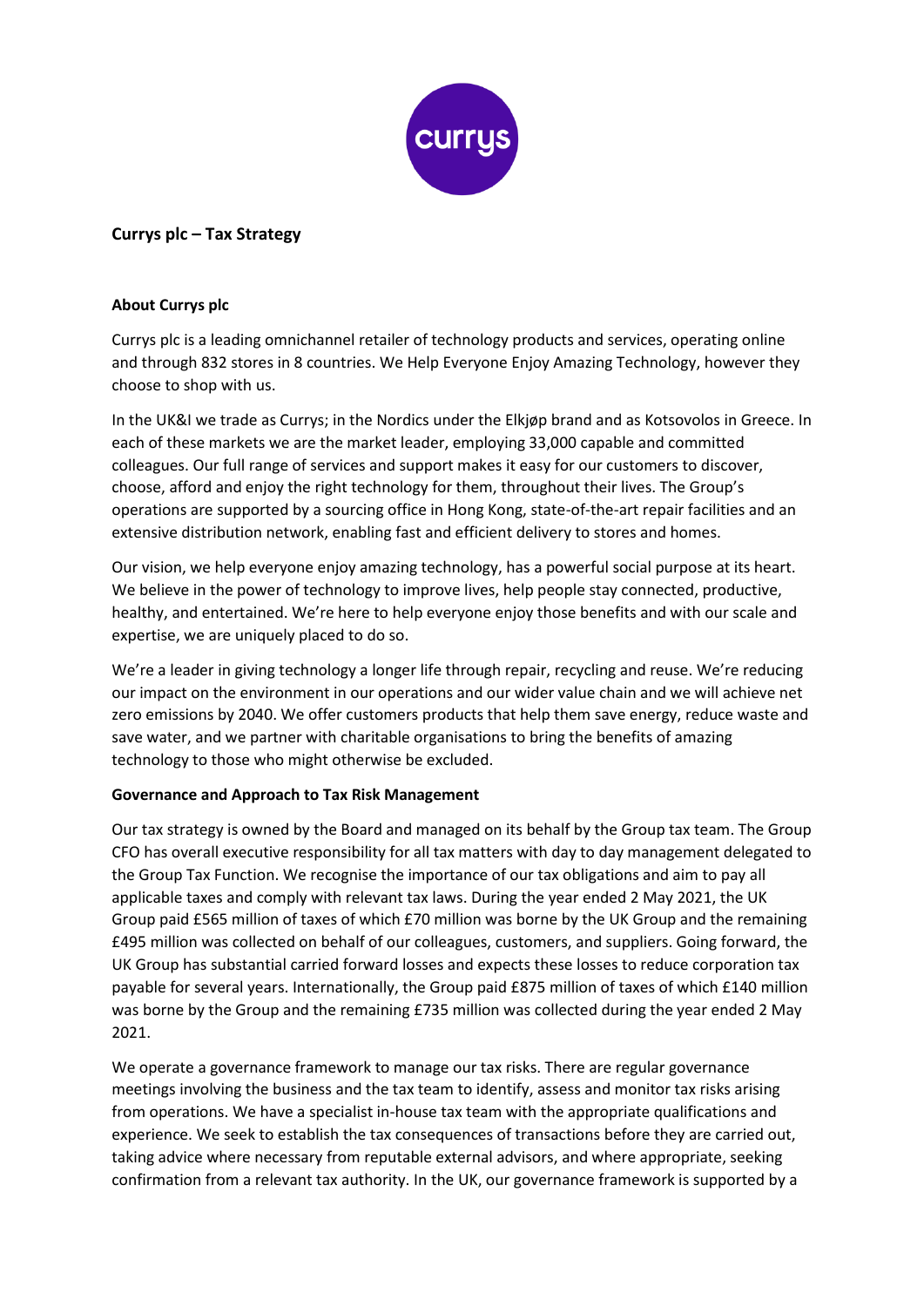

# **Currys plc – Tax Strategy**

### **About Currys plc**

Currys plc is a leading omnichannel retailer of technology products and services, operating online and through 832 stores in 8 countries. We Help Everyone Enjoy Amazing Technology, however they choose to shop with us.

In the UK&I we trade as Currys; in the Nordics under the Elkjøp brand and as Kotsovolos in Greece. In each of these markets we are the market leader, employing 33,000 capable and committed colleagues. Our full range of services and support makes it easy for our customers to discover, choose, afford and enjoy the right technology for them, throughout their lives. The Group's operations are supported by a sourcing office in Hong Kong, state-of-the-art repair facilities and an extensive distribution network, enabling fast and efficient delivery to stores and homes.

Our vision, we help everyone enjoy amazing technology, has a powerful social purpose at its heart. We believe in the power of technology to improve lives, help people stay connected, productive, healthy, and entertained. We're here to help everyone enjoy those benefits and with our scale and expertise, we are uniquely placed to do so.

We're a leader in giving technology a longer life through repair, recycling and reuse. We're reducing our impact on the environment in our operations and our wider value chain and we will achieve net zero emissions by 2040. We offer customers products that help them save energy, reduce waste and save water, and we partner with charitable organisations to bring the benefits of amazing technology to those who might otherwise be excluded.

## **Governance and Approach to Tax Risk Management**

Our tax strategy is owned by the Board and managed on its behalf by the Group tax team. The Group CFO has overall executive responsibility for all tax matters with day to day management delegated to the Group Tax Function. We recognise the importance of our tax obligations and aim to pay all applicable taxes and comply with relevant tax laws. During the year ended 2 May 2021, the UK Group paid £565 million of taxes of which £70 million was borne by the UK Group and the remaining £495 million was collected on behalf of our colleagues, customers, and suppliers. Going forward, the UK Group has substantial carried forward losses and expects these losses to reduce corporation tax payable for several years. Internationally, the Group paid £875 million of taxes of which £140 million was borne by the Group and the remaining £735 million was collected during the year ended 2 May 2021.

We operate a governance framework to manage our tax risks. There are regular governance meetings involving the business and the tax team to identify, assess and monitor tax risks arising from operations. We have a specialist in-house tax team with the appropriate qualifications and experience. We seek to establish the tax consequences of transactions before they are carried out, taking advice where necessary from reputable external advisors, and where appropriate, seeking confirmation from a relevant tax authority. In the UK, our governance framework is supported by a